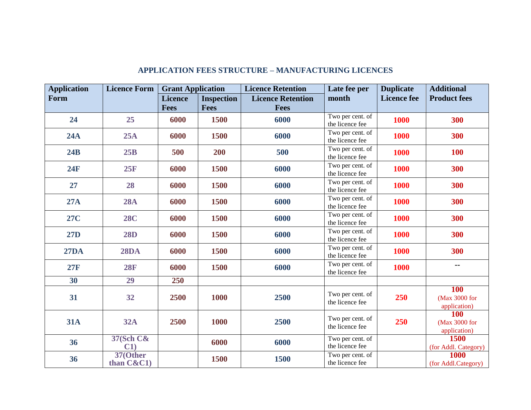| <b>Application</b> | <b>Licence Form</b>        | <b>Grant Application</b> |                   | <b>Licence Retention</b> | Late fee per                        | <b>Duplicate</b>   | <b>Additional</b>                           |
|--------------------|----------------------------|--------------------------|-------------------|--------------------------|-------------------------------------|--------------------|---------------------------------------------|
| Form               |                            | <b>Licence</b>           | <b>Inspection</b> | <b>Licence Retention</b> | month                               | <b>Licence fee</b> | <b>Product fees</b>                         |
|                    |                            | <b>Fees</b>              | <b>Fees</b>       | <b>Fees</b>              |                                     |                    |                                             |
| 24                 | 25                         | 6000                     | 1500              | 6000                     | Two per cent. of<br>the licence fee | 1000               | 300                                         |
| 24A                | 25A                        | 6000                     | 1500              | 6000                     | Two per cent. of<br>the licence fee | 1000               | 300                                         |
| 24B                | 25B                        | 500                      | 200               | 500                      | Two per cent. of<br>the licence fee | <b>1000</b>        | <b>100</b>                                  |
| 24F                | 25F                        | 6000                     | 1500              | 6000                     | Two per cent. of<br>the licence fee | 1000               | 300                                         |
| 27                 | 28                         | 6000                     | 1500              | 6000                     | Two per cent. of<br>the licence fee | 1000               | 300                                         |
| 27A                | <b>28A</b>                 | 6000                     | 1500              | 6000                     | Two per cent. of<br>the licence fee | 1000               | 300                                         |
| <b>27C</b>         | <b>28C</b>                 | 6000                     | 1500              | 6000                     | Two per cent. of<br>the licence fee | 1000               | 300                                         |
| <b>27D</b>         | <b>28D</b>                 | 6000                     | 1500              | 6000                     | Two per cent. of<br>the licence fee | <b>1000</b>        | 300                                         |
| <b>27DA</b>        | <b>28DA</b>                | 6000                     | 1500              | 6000                     | Two per cent. of<br>the licence fee | 1000               | 300                                         |
| 27F                | <b>28F</b>                 | 6000                     | <b>1500</b>       | 6000                     | Two per cent. of<br>the licence fee | <b>1000</b>        | --                                          |
| 30                 | 29                         | 250                      |                   |                          |                                     |                    |                                             |
| 31                 | 32                         | 2500                     | 1000              | 2500                     | Two per cent. of<br>the licence fee | 250                | <b>100</b><br>(Max 3000 for<br>application) |
| <b>31A</b>         | <b>32A</b>                 | 2500                     | 1000              | 2500                     | Two per cent. of<br>the licence fee | 250                | <b>100</b><br>(Max 3000 for<br>application) |
| 36                 | <b>37(Sch C&amp;</b><br>C1 |                          | 6000              | 6000                     | Two per cent. of<br>the licence fee |                    | 1500<br>(for Addl. Category)                |
| 36                 | 37(Other<br>than $C&C1$    |                          | 1500              | 1500                     | Two per cent. of<br>the licence fee |                    | <b>1000</b><br>(for Addl.Category)          |

## **APPLICATION FEES STRUCTURE – MANUFACTURING LICENCES**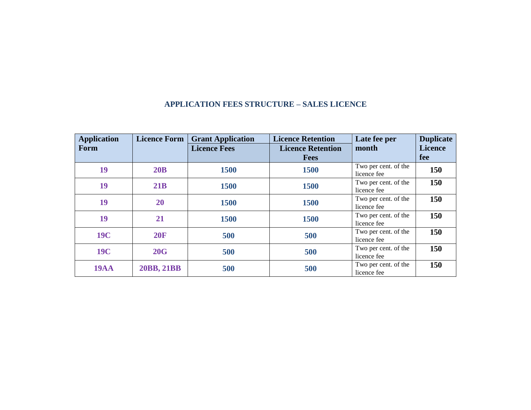| <b>Application</b> | <b>Licence Form</b> | <b>Grant Application</b> | <b>Licence Retention</b> | Late fee per         | <b>Duplicate</b> |
|--------------------|---------------------|--------------------------|--------------------------|----------------------|------------------|
| Form               |                     | <b>Licence Fees</b>      | <b>Licence Retention</b> | month                | <b>Licence</b>   |
|                    |                     |                          | <b>Fees</b>              |                      | fee              |
| 19                 | 20B                 | 1500                     | 1500                     | Two per cent. of the | 150              |
|                    |                     |                          | licence fee              |                      |                  |
| 19                 | 21B<br>1500<br>1500 | Two per cent. of the     | 150                      |                      |                  |
|                    |                     |                          |                          | licence fee          |                  |
| 19                 | 20<br>1500<br>1500  | Two per cent. of the     | 150                      |                      |                  |
|                    |                     |                          |                          | licence fee          |                  |
| 19                 | 21                  | 1500                     | 1500                     | Two per cent. of the | 150              |
|                    |                     |                          |                          | licence fee          |                  |
| <b>19C</b>         | <b>20F</b>          | 500                      | 500                      | Two per cent. of the | 150              |
|                    |                     |                          |                          | licence fee          |                  |
| <b>19C</b>         | 20G                 |                          | 500                      | Two per cent. of the | 150              |
|                    |                     | 500                      |                          | licence fee          |                  |
| <b>19AA</b>        | 20BB, 21BB          | 500                      | 500                      | Two per cent. of the | 150              |
|                    |                     |                          |                          | licence fee          |                  |

## **APPLICATION FEES STRUCTURE – SALES LICENCE**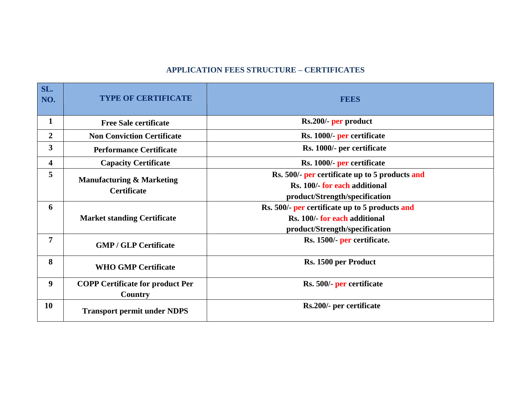## **APPLICATION FEES STRUCTURE – CERTIFICATES**

| SL.<br>NO.       | <b>TYPE OF CERTIFICATE</b>                                 | <b>FEES</b>                                                                                                       |
|------------------|------------------------------------------------------------|-------------------------------------------------------------------------------------------------------------------|
| $\mathbf{1}$     | <b>Free Sale certificate</b>                               | Rs.200/- per product                                                                                              |
| $\overline{2}$   | <b>Non Conviction Certificate</b>                          | Rs. 1000/- per certificate                                                                                        |
| 3                | <b>Performance Certificate</b>                             | Rs. 1000/- per certificate                                                                                        |
| 4                | <b>Capacity Certificate</b>                                | Rs. 1000/- per certificate                                                                                        |
| 5                | <b>Manufacturing &amp; Marketing</b><br><b>Certificate</b> | Rs. 500/- per certificate up to 5 products and<br>Rs. 100/- for each additional<br>product/Strength/specification |
| 6                | <b>Market standing Certificate</b>                         | Rs. 500/- per certificate up to 5 products and<br>Rs. 100/- for each additional<br>product/Strength/specification |
| 7                | <b>GMP / GLP Certificate</b>                               | Rs. 1500/- per certificate.                                                                                       |
| 8                | <b>WHO GMP Certificate</b>                                 | Rs. 1500 per Product                                                                                              |
| $\boldsymbol{9}$ | <b>COPP Certificate for product Per</b><br>Country         | Rs. 500/- per certificate                                                                                         |
| <b>10</b>        | <b>Transport permit under NDPS</b>                         | Rs.200/- per certificate                                                                                          |